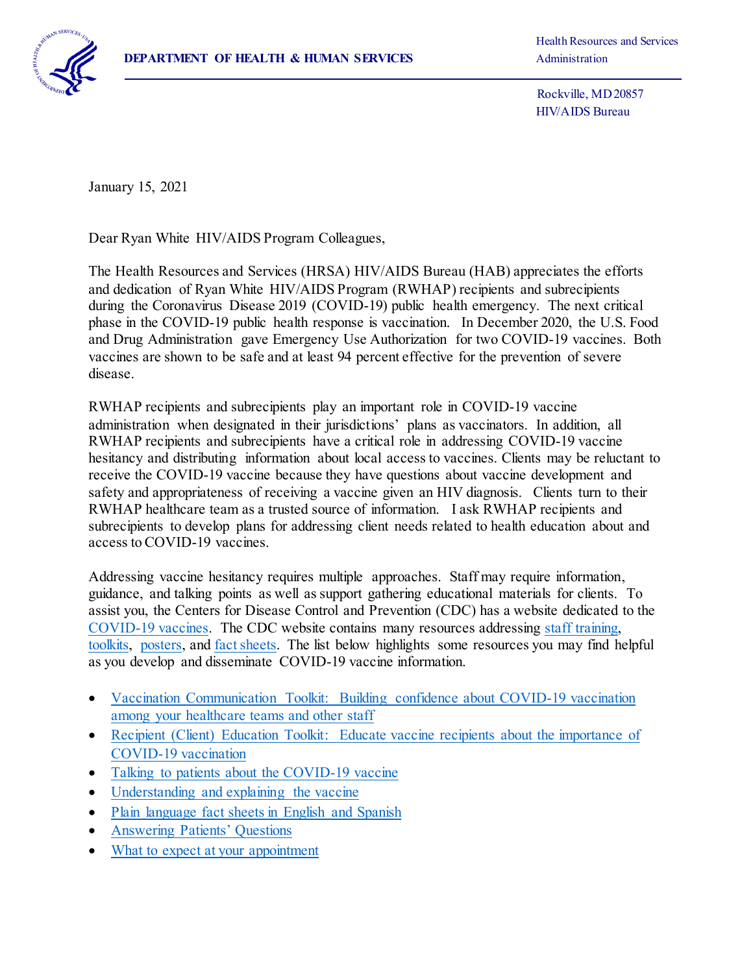

Health Resources and Services

 Rockville, MD 20857 HIV/AIDS Bureau

January 15, 2021

Dear Ryan White HIV/AIDS Program Colleagues,

The Health Resources and Services (HRSA) HIV/AIDS Bureau (HAB) appreciates the efforts and dedication of Ryan White HIV/AIDS Program (RWHAP) recipients and subrecipients during the Coronavirus Disease 2019 (COVID-19) public health emergency. The next critical phase in the COVID-19 public health response is vaccination. In December 2020, the U.S. Food and Drug Administration gave Emergency Use Authorization for two COVID-19 vaccines. Both vaccines are shown to be safe and at least 94 percent effective for the prevention of severe disease.

RWHAP recipients and subrecipients play an important role in COVID-19 vaccine administration when designated in their jurisdictions' plans as vaccinators. In addition, all RWHAP recipients and subrecipients have a critical role in addressing COVID-19 vaccine hesitancy and distributing information about local access to vaccines. Clients may be reluctant to receive the COVID-19 vaccine because they have questions about vaccine development and safety and appropriateness of receiving a vaccine given an HIV diagnosis. Clients turn to their RWHAP healthcare team as a trusted source of information. I ask RWHAP recipients and subrecipients to develop plans for addressing client needs related to health education about and access to COVID-19 vaccines.

Addressing vaccine hesitancy requires multiple approaches. Staff may require information, guidance, and talking points as well as support gathering educational materials for clients. To assist you, the Centers for Disease Control and Prevention (CDC) has a website dedicated to the [COVID-19 vaccines](https://www.cdc.gov/coronavirus/2019-ncov/vaccines/index.html). The CDC website contains many resources addressing [staff training,](https://www.cdc.gov/vaccines/covid-19/training.html)  [toolkits,](https://www.cdc.gov/vaccines/covid-19/toolkits/index.html) [posters,](https://www.cdc.gov/vaccines/covid-19/health-systems-communication-toolkit.html#posters) and [fact sheets.](https://www.cdc.gov/vaccines/covid-19/health-systems-communication-toolkit.html#faqs) The list below highlights some resources you may find helpful as you develop and disseminate COVID-19 vaccine information.

- Vaccination Communication Toolkit: Building confidence about COVID-19 vaccination [among your healthcare teams and other staff](https://www.cdc.gov/vaccines/covid-19/health-systems-communication-toolkit.html)
- Recipient (Client) Education Toolkit: Educate vaccine recipients about the importance of [COVID-19 vaccination](https://www.cdc.gov/vaccines/covid-19/hcp/index.html)
- Talking to patients about the COVID-19 vaccine
- [Understanding and explaining the vaccine](https://www.cdc.gov/vaccines/covid-19/hcp/mrna-vaccine-basics.html)
- [Plain language fact sheets in English and Spanish](https://www.cdc.gov/coronavirus/2019-ncov/vaccines/expect.html)
- [Answering Patients' Questions](https://www.cdc.gov/vaccines/covid-19/hcp/answering-questions.html)
- [What to expect at your appointment](https://www.cdc.gov/coronavirus/2019-ncov/vaccines/expect.html)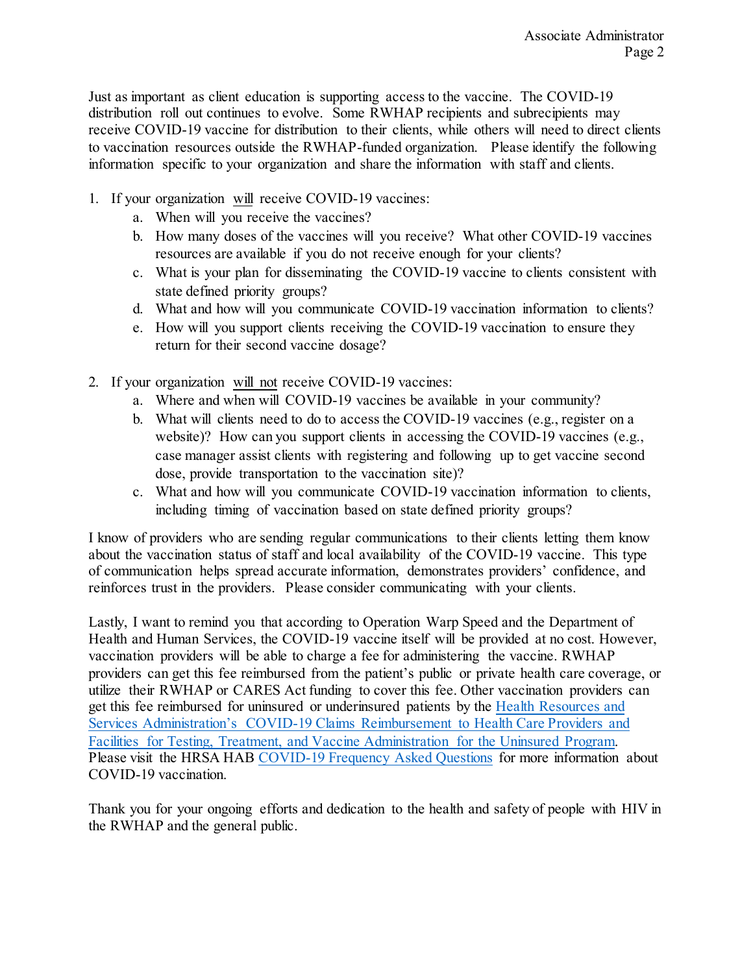Just as important as client education is supporting access to the vaccine. The COVID-19 distribution roll out continues to evolve. Some RWHAP recipients and subrecipients may receive COVID-19 vaccine for distribution to their clients, while others will need to direct clients to vaccination resources outside the RWHAP-funded organization. Please identify the following information specific to your organization and share the information with staff and clients.

- 1. If your organization will receive COVID-19 vaccines:
	- a. When will you receive the vaccines?
	- b. How many doses of the vaccines will you receive? What other COVID-19 vaccines resources are available if you do not receive enough for your clients?
	- c. What is your plan for disseminating the COVID-19 vaccine to clients consistent with state defined priority groups?
	- d. What and how will you communicate COVID-19 vaccination information to clients?
	- e. How will you support clients receiving the COVID-19 vaccination to ensure they return for their second vaccine dosage?
- 2. If your organization will not receive COVID-19 vaccines:
	- a. Where and when will COVID-19 vaccines be available in your community?
	- b. What will clients need to do to access the COVID-19 vaccines (e.g., register on a website)? How can you support clients in accessing the COVID-19 vaccines (e.g., case manager assist clients with registering and following up to get vaccine second dose, provide transportation to the vaccination site)?
	- c. What and how will you communicate COVID-19 vaccination information to clients, including timing of vaccination based on state defined priority groups?

I know of providers who are sending regular communications to their clients letting them know about the vaccination status of staff and local availability of the COVID-19 vaccine. This type of communication helps spread accurate information, demonstrates providers' confidence, and reinforces trust in the providers. Please consider communicating with your clients.

Lastly, I want to remind you that according to Operation Warp Speed and the Department of Health and Human Services, the COVID-19 vaccine itself will be provided at no cost. However, vaccination providers will be able to charge a fee for administering the vaccine. RWHAP providers can get this fee reimbursed from the patient's public or private health care coverage, or utilize their RWHAP or CARES Act funding to cover this fee. Other vaccination providers can get this fee reimbursed for uninsured or underinsured patients by the [Health Resources and](https://coviduninsuredclaim.linkhealth.com/)  [Services Administration's COVID-19 Claims Reimbursement to Health Care Providers and](https://coviduninsuredclaim.linkhealth.com/)  [Facilities for Testing, Treatment, and Vaccine Administration for the Uninsured Program.](https://coviduninsuredclaim.linkhealth.com/) Please visit the HRSA HAB [COVID-19 Frequency Asked Questions](https://hab.hrsa.gov/coronavirus/frequently-asked-questions) for more information about COVID-19 vaccination.

Thank you for your ongoing efforts and dedication to the health and safety of people with HIV in the RWHAP and the general public.